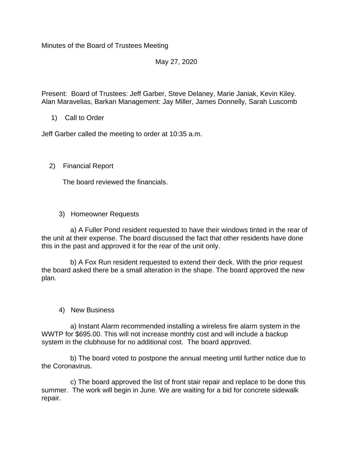Minutes of the Board of Trustees Meeting

# May 27, 2020

Present: Board of Trustees: Jeff Garber, Steve Delaney, Marie Janiak, Kevin Kiley. Alan Maravelias, Barkan Management: Jay Miller, James Donnelly, Sarah Luscomb

1) Call to Order

Jeff Garber called the meeting to order at 10:35 a.m.

## 2) Financial Report

The board reviewed the financials.

3) Homeowner Requests

 a) A Fuller Pond resident requested to have their windows tinted in the rear of the unit at their expense. The board discussed the fact that other residents have done this in the past and approved it for the rear of the unit only.

 b) A Fox Run resident requested to extend their deck. With the prior request the board asked there be a small alteration in the shape. The board approved the new plan.

### 4) New Business

 a) Instant Alarm recommended installing a wireless fire alarm system in the WWTP for \$695.00. This will not increase monthly cost and will include a backup system in the clubhouse for no additional cost. The board approved.

 b) The board voted to postpone the annual meeting until further notice due to the Coronavirus.

 c) The board approved the list of front stair repair and replace to be done this summer. The work will begin in June. We are waiting for a bid for concrete sidewalk repair.